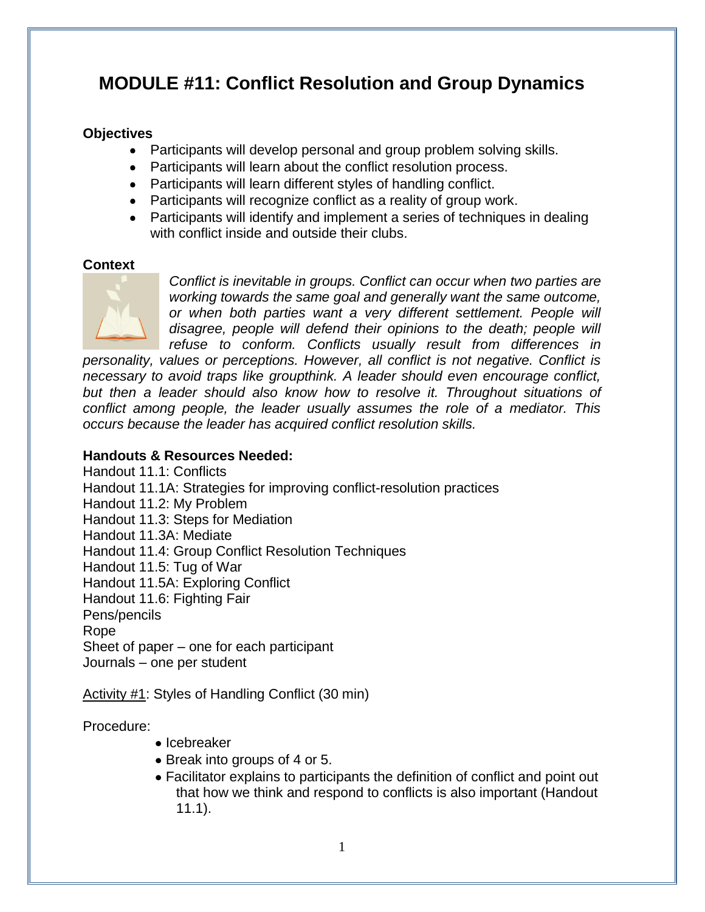# **MODULE #11: Conflict Resolution and Group Dynamics**

#### **Objectives**

- Participants will develop personal and group problem solving skills.
- Participants will learn about the conflict resolution process.
- Participants will learn different styles of handling conflict.
- Participants will recognize conflict as a reality of group work.
- Participants will identify and implement a series of techniques in dealing with conflict inside and outside their clubs.

#### **Context**



*Conflict is inevitable in groups. Conflict can occur when two parties are working towards the same goal and generally want the same outcome, or when both parties want a very different settlement. People will disagree, people will defend their opinions to the death; people will refuse to conform. Conflicts usually result from differences in* 

*personality, values or perceptions. However, all conflict is not negative. Conflict is necessary to avoid traps like groupthink. A leader should even encourage conflict, but then a leader should also know how to resolve it. Throughout situations of conflict among people, the leader usually assumes the role of a mediator. This occurs because the leader has acquired conflict resolution skills.*

#### **Handouts & Resources Needed:**

Handout 11.1: Conflicts Handout 11.1A: Strategies for improving conflict-resolution practices Handout 11.2: My Problem Handout 11.3: Steps for Mediation Handout 11.3A: Mediate Handout 11.4: Group Conflict Resolution Techniques Handout 11.5: Tug of War Handout 11.5A: Exploring Conflict Handout 11.6: Fighting Fair Pens/pencils Rope Sheet of paper – one for each participant Journals – one per student

Activity #1: Styles of Handling Conflict (30 min)

Procedure:

- Icebreaker
- Break into groups of 4 or 5.
- Facilitator explains to participants the definition of conflict and point out that how we think and respond to conflicts is also important (Handout 11.1).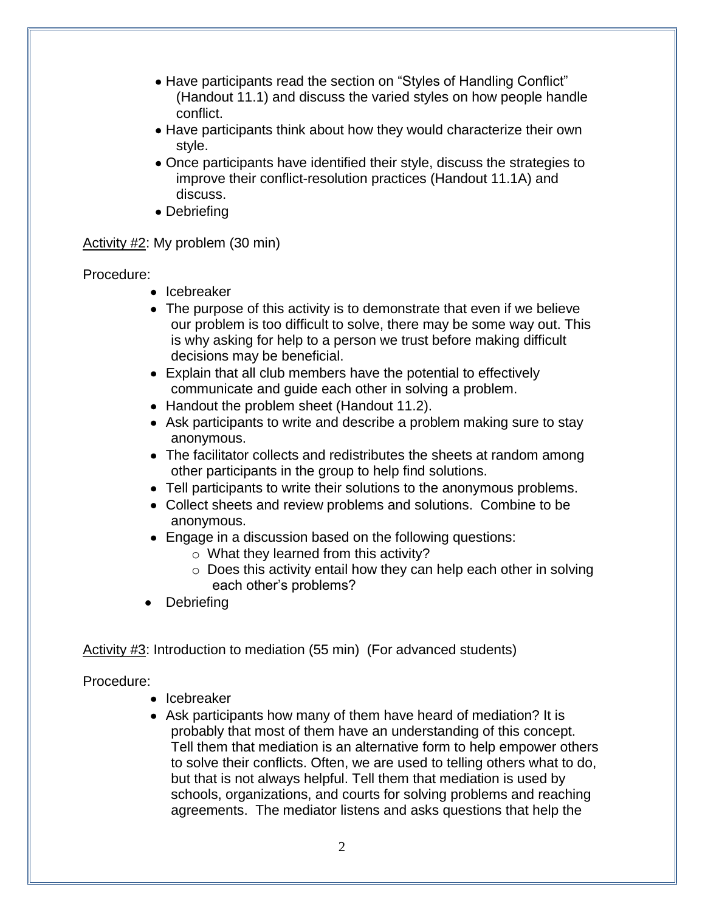- Have participants read the section on "Styles of Handling Conflict" (Handout 11.1) and discuss the varied styles on how people handle conflict.
- Have participants think about how they would characterize their own style.
- Once participants have identified their style, discuss the strategies to improve their conflict-resolution practices (Handout 11.1A) and discuss.
- Debriefing

Activity #2: My problem (30 min)

Procedure:

- $\bullet$  Icebreaker
- The purpose of this activity is to demonstrate that even if we believe our problem is too difficult to solve, there may be some way out. This is why asking for help to a person we trust before making difficult decisions may be beneficial.
- Explain that all club members have the potential to effectively communicate and guide each other in solving a problem.
- Handout the problem sheet (Handout 11.2).
- Ask participants to write and describe a problem making sure to stay anonymous.
- The facilitator collects and redistributes the sheets at random among other participants in the group to help find solutions.
- Tell participants to write their solutions to the anonymous problems.
- Collect sheets and review problems and solutions. Combine to be anonymous.
- Engage in a discussion based on the following questions:
	- o What they learned from this activity?
	- $\circ$  Does this activity entail how they can help each other in solving each other's problems?
- Debriefing

Activity #3: Introduction to mediation (55 min) (For advanced students)

Procedure:

- Icebreaker
- Ask participants how many of them have heard of mediation? It is probably that most of them have an understanding of this concept. Tell them that mediation is an alternative form to help empower others to solve their conflicts. Often, we are used to telling others what to do, but that is not always helpful. Tell them that mediation is used by schools, organizations, and courts for solving problems and reaching agreements. The mediator listens and asks questions that help the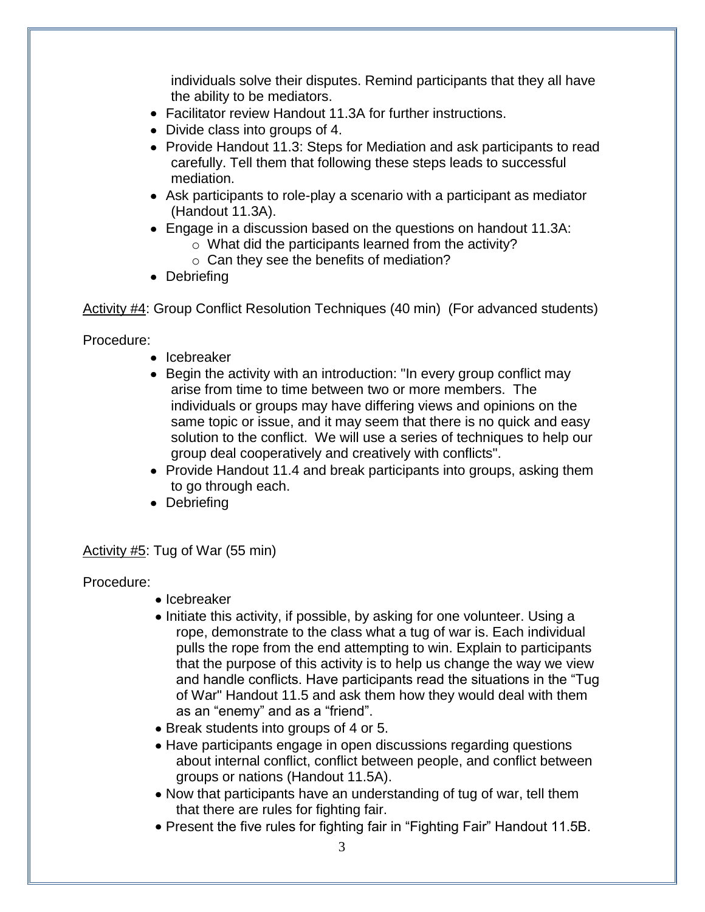individuals solve their disputes. Remind participants that they all have the ability to be mediators.

- Facilitator review Handout 11.3A for further instructions.
- Divide class into groups of 4.
- Provide Handout 11.3: Steps for Mediation and ask participants to read carefully. Tell them that following these steps leads to successful mediation.
- Ask participants to role-play a scenario with a participant as mediator (Handout 11.3A).
- Engage in a discussion based on the questions on handout 11.3A:
	- $\circ$  What did the participants learned from the activity?
	- o Can they see the benefits of mediation?
- Debriefina

Activity #4: Group Conflict Resolution Techniques (40 min) (For advanced students)

Procedure:

- Icebreaker
- Begin the activity with an introduction: "In every group conflict may arise from time to time between two or more members. The individuals or groups may have differing views and opinions on the same topic or issue, and it may seem that there is no quick and easy solution to the conflict. We will use a series of techniques to help our group deal cooperatively and creatively with conflicts".
- Provide Handout 11.4 and break participants into groups, asking them to go through each.
- Debriefing

#### Activity #5: Tug of War (55 min)

Procedure:

- Icebreaker
- Initiate this activity, if possible, by asking for one volunteer. Using a rope, demonstrate to the class what a tug of war is. Each individual pulls the rope from the end attempting to win. Explain to participants that the purpose of this activity is to help us change the way we view and handle conflicts. Have participants read the situations in the "Tug" of War" Handout 11.5 and ask them how they would deal with them as an "enemy" and as a "friend".
- Break students into groups of 4 or 5.
- Have participants engage in open discussions regarding questions about internal conflict, conflict between people, and conflict between groups or nations (Handout 11.5A).
- Now that participants have an understanding of tug of war, tell them that there are rules for fighting fair.
- Present the five rules for fighting fair in "Fighting Fair" Handout 11.5B.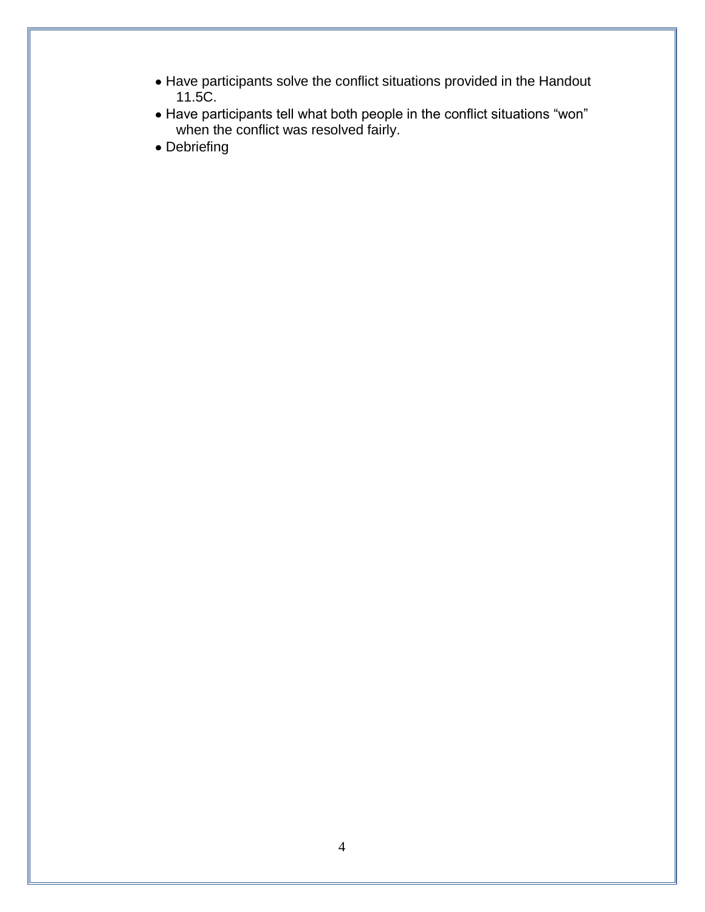- Have participants solve the conflict situations provided in the Handout 11.5C.
- Have participants tell what both people in the conflict situations "won" when the conflict was resolved fairly.
- Debriefing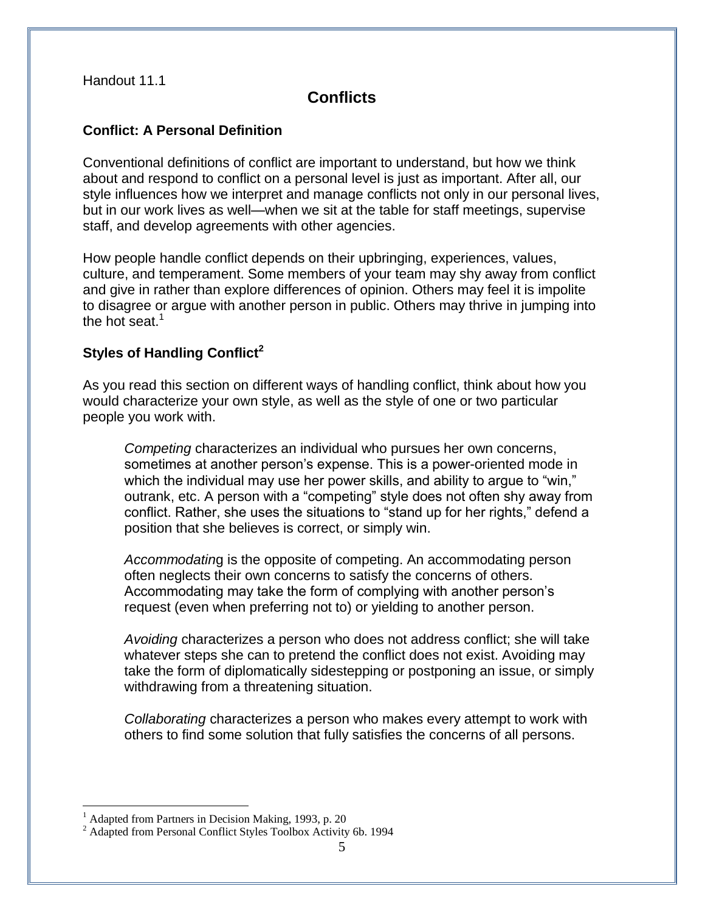## **Conflicts**

## **Conflict: A Personal Definition**

Conventional definitions of conflict are important to understand, but how we think about and respond to conflict on a personal level is just as important. After all, our style influences how we interpret and manage conflicts not only in our personal lives, but in our work lives as well—when we sit at the table for staff meetings, supervise staff, and develop agreements with other agencies.

How people handle conflict depends on their upbringing, experiences, values, culture, and temperament. Some members of your team may shy away from conflict and give in rather than explore differences of opinion. Others may feel it is impolite to disagree or argue with another person in public. Others may thrive in jumping into the hot seat. $1$ 

## **Styles of Handling Conflict<sup>2</sup>**

As you read this section on different ways of handling conflict, think about how you would characterize your own style, as well as the style of one or two particular people you work with.

*Competing* characterizes an individual who pursues her own concerns, sometimes at another person's expense. This is a power-oriented mode in which the individual may use her power skills, and ability to argue to "win," outrank, etc. A person with a "competing" style does not often shy away from conflict. Rather, she uses the situations to "stand up for her rights," defend a position that she believes is correct, or simply win.

*Accommodatin*g is the opposite of competing. An accommodating person often neglects their own concerns to satisfy the concerns of others. Accommodating may take the form of complying with another person's request (even when preferring not to) or yielding to another person.

*Avoiding* characterizes a person who does not address conflict; she will take whatever steps she can to pretend the conflict does not exist. Avoiding may take the form of diplomatically sidestepping or postponing an issue, or simply withdrawing from a threatening situation.

*Collaborating* characterizes a person who makes every attempt to work with others to find some solution that fully satisfies the concerns of all persons.

1

 $<sup>1</sup>$  Adapted from Partners in Decision Making, 1993, p. 20</sup>

<sup>&</sup>lt;sup>2</sup> Adapted from Personal Conflict Styles Toolbox Activity 6b. 1994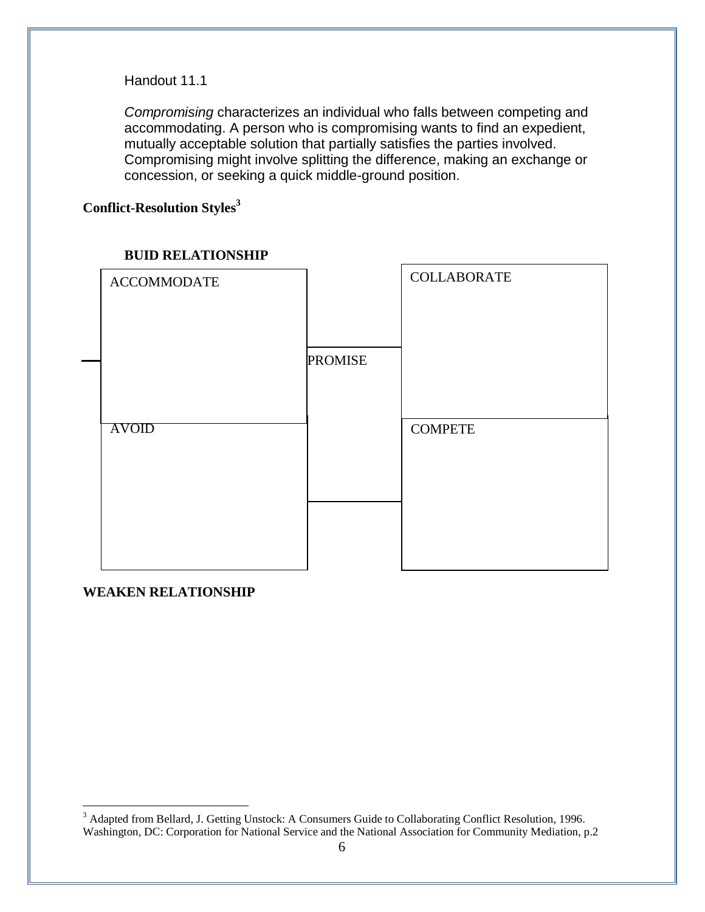*Compromising* characterizes an individual who falls between competing and accommodating. A person who is compromising wants to find an expedient, mutually acceptable solution that partially satisfies the parties involved. Compromising might involve splitting the difference, making an exchange or concession, or seeking a quick middle-ground position.

## **Conflict-Resolution Styles<sup>3</sup>**



#### **BUID RELATIONSHIP**

#### **WEAKEN RELATIONSHIP**

1

<sup>&</sup>lt;sup>3</sup> Adapted from Bellard, J. Getting Unstock: A Consumers Guide to Collaborating Conflict Resolution, 1996. Washington, DC: Corporation for National Service and the National Association for Community Mediation, p.2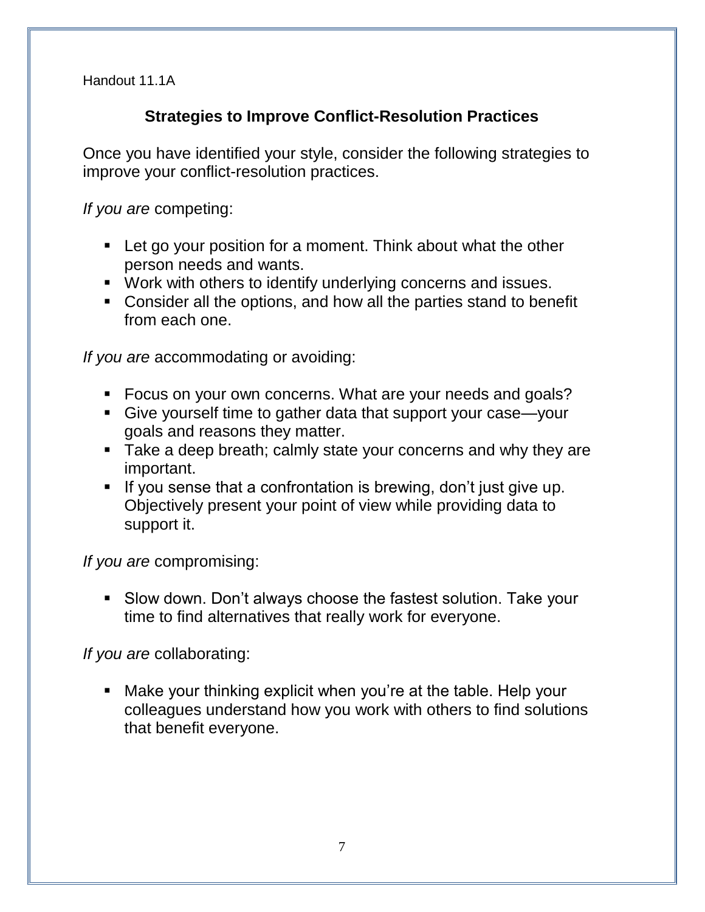## **Strategies to Improve Conflict-Resolution Practices**

Once you have identified your style, consider the following strategies to improve your conflict-resolution practices.

*If you are* competing:

- **EXTE:** Let go your position for a moment. Think about what the other person needs and wants.
- Work with others to identify underlying concerns and issues.
- Consider all the options, and how all the parties stand to benefit from each one.

*If you are* accommodating or avoiding:

- Focus on your own concerns. What are your needs and goals?
- Give yourself time to gather data that support your case—your goals and reasons they matter.
- Take a deep breath; calmly state your concerns and why they are important.
- If you sense that a confrontation is brewing, don't just give up. Objectively present your point of view while providing data to support it.

*If you are* compromising:

 Slow down. Don't always choose the fastest solution. Take your time to find alternatives that really work for everyone.

*If you are* collaborating:

 Make your thinking explicit when you're at the table. Help your colleagues understand how you work with others to find solutions that benefit everyone.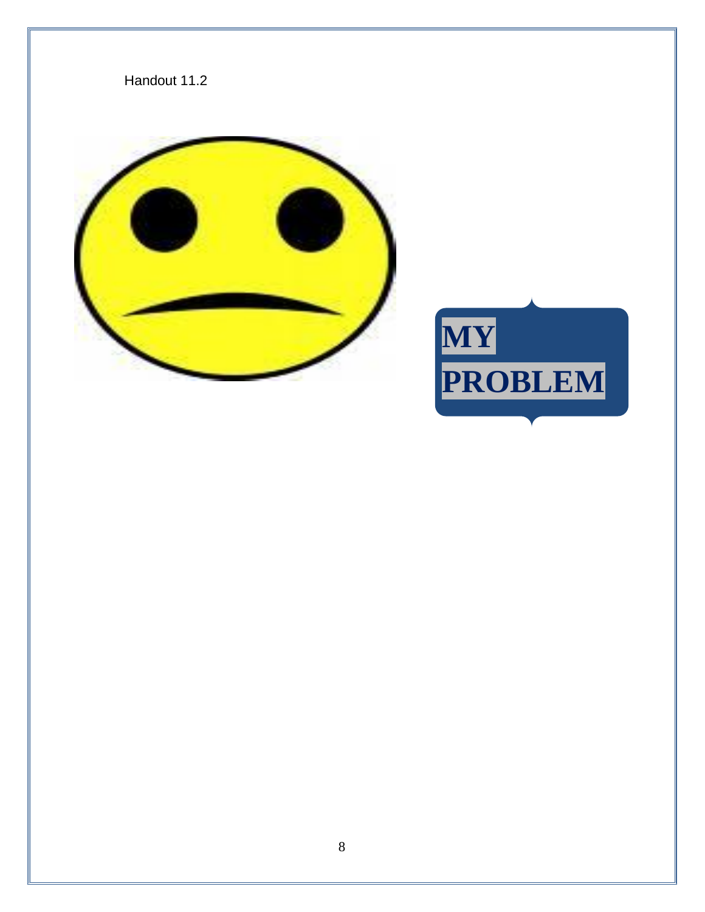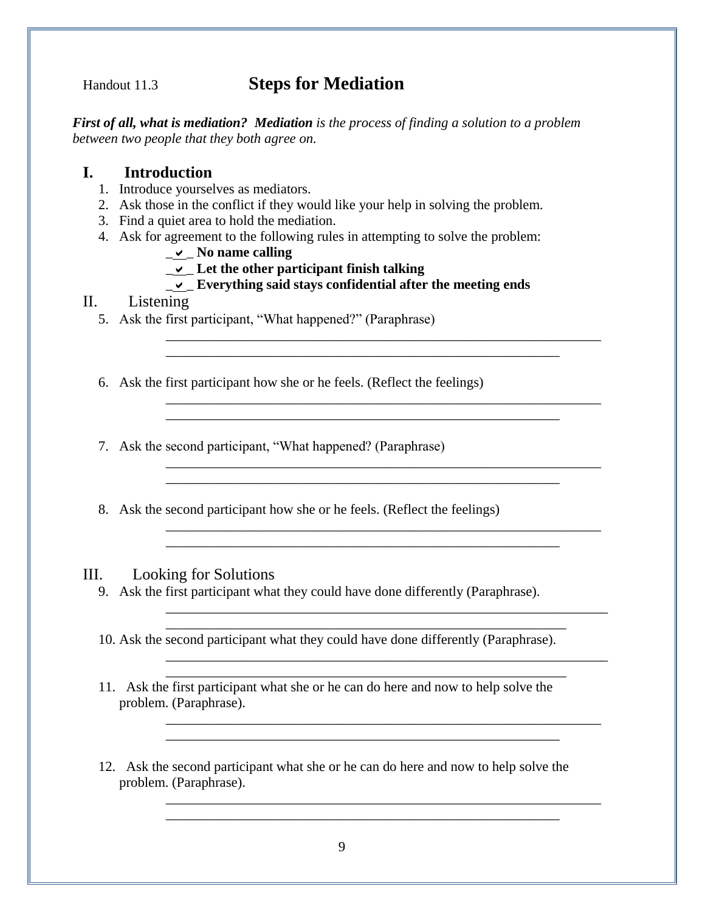Handout 11.3 **Steps for Mediation**

*First of all, what is mediation? Mediation is the process of finding a solution to a problem between two people that they both agree on.*

## **I. Introduction**

- 1. Introduce yourselves as mediators.
- 2. Ask those in the conflict if they would like your help in solving the problem.
- 3. Find a quiet area to hold the mediation.
- 4. Ask for agreement to the following rules in attempting to solve the problem:
	- \_\_ **No name calling**
	- \_\_ **Let the other participant finish talking**
	- **\_v** Everything said stays confidential after the meeting ends

\_\_\_\_\_\_\_\_\_\_\_\_\_\_\_\_\_\_\_\_\_\_\_\_\_\_\_\_\_\_\_\_\_\_\_\_\_\_\_\_\_\_\_\_\_\_\_\_\_\_\_\_\_\_\_\_\_\_\_\_\_\_\_

\_\_\_\_\_\_\_\_\_\_\_\_\_\_\_\_\_\_\_\_\_\_\_\_\_\_\_\_\_\_\_\_\_\_\_\_\_\_\_\_\_\_\_\_\_\_\_\_\_\_\_\_\_\_\_\_\_\_\_\_\_\_\_

\_\_\_\_\_\_\_\_\_\_\_\_\_\_\_\_\_\_\_\_\_\_\_\_\_\_\_\_\_\_\_\_\_\_\_\_\_\_\_\_\_\_\_\_\_\_\_\_\_\_\_\_\_\_\_\_\_\_\_\_\_\_\_

\_\_\_\_\_\_\_\_\_\_\_\_\_\_\_\_\_\_\_\_\_\_\_\_\_\_\_\_\_\_\_\_\_\_\_\_\_\_\_\_\_\_\_\_\_\_\_\_\_\_\_\_\_\_\_\_\_\_\_\_\_\_\_\_

\_\_\_\_\_\_\_\_\_\_\_\_\_\_\_\_\_\_\_\_\_\_\_\_\_\_\_\_\_\_\_\_\_\_\_\_\_\_\_\_\_\_\_\_\_\_\_\_\_\_\_\_\_\_\_\_\_\_\_\_\_\_\_\_

\_\_\_\_\_\_\_\_\_\_\_\_\_\_\_\_\_\_\_\_\_\_\_\_\_\_\_\_\_\_\_\_\_\_\_\_\_\_\_\_\_\_\_\_\_\_\_\_\_\_\_\_\_\_\_\_\_\_\_\_\_\_\_

\_\_\_\_\_\_\_\_\_\_\_\_\_\_\_\_\_\_\_\_\_\_\_\_\_\_\_\_\_\_\_\_\_\_\_\_\_\_\_\_\_\_\_\_\_\_\_\_\_\_\_\_\_\_\_\_\_\_\_\_\_\_\_

\_\_\_\_\_\_\_\_\_\_\_\_\_\_\_\_\_\_\_\_\_\_\_\_\_\_\_\_\_\_\_\_\_\_\_\_\_\_\_\_\_\_\_\_\_\_\_\_\_\_\_\_\_\_\_\_\_

\_\_\_\_\_\_\_\_\_\_\_\_\_\_\_\_\_\_\_\_\_\_\_\_\_\_\_\_\_\_\_\_\_\_\_\_\_\_\_\_\_\_\_\_\_\_\_\_\_\_\_\_\_\_\_\_\_\_

\_\_\_\_\_\_\_\_\_\_\_\_\_\_\_\_\_\_\_\_\_\_\_\_\_\_\_\_\_\_\_\_\_\_\_\_\_\_\_\_\_\_\_\_\_\_\_\_\_\_\_\_\_\_\_\_\_\_

\_\_\_\_\_\_\_\_\_\_\_\_\_\_\_\_\_\_\_\_\_\_\_\_\_\_\_\_\_\_\_\_\_\_\_\_\_\_\_\_\_\_\_\_\_\_\_\_\_\_\_\_\_\_\_\_\_

\_\_\_\_\_\_\_\_\_\_\_\_\_\_\_\_\_\_\_\_\_\_\_\_\_\_\_\_\_\_\_\_\_\_\_\_\_\_\_\_\_\_\_\_\_\_\_\_\_\_\_\_\_\_\_\_\_

\_\_\_\_\_\_\_\_\_\_\_\_\_\_\_\_\_\_\_\_\_\_\_\_\_\_\_\_\_\_\_\_\_\_\_\_\_\_\_\_\_\_\_\_\_\_\_\_\_\_\_\_\_\_\_\_\_\_\_\_\_\_\_

\_\_\_\_\_\_\_\_\_\_\_\_\_\_\_\_\_\_\_\_\_\_\_\_\_\_\_\_\_\_\_\_\_\_\_\_\_\_\_\_\_\_\_\_\_\_\_\_\_\_\_\_\_\_\_\_\_

\_\_\_\_\_\_\_\_\_\_\_\_\_\_\_\_\_\_\_\_\_\_\_\_\_\_\_\_\_\_\_\_\_\_\_\_\_\_\_\_\_\_\_\_\_\_\_\_\_\_\_\_\_\_\_\_\_

### II. Listening

- 5. Ask the first participant, "What happened?" (Paraphrase)
- 6. Ask the first participant how she or he feels. (Reflect the feelings)
- 7. Ask the second participant, "What happened? (Paraphrase)
- 8. Ask the second participant how she or he feels. (Reflect the feelings)

#### III. Looking for Solutions

- 9. Ask the first participant what they could have done differently (Paraphrase).
- 10. Ask the second participant what they could have done differently (Paraphrase).
- 11. Ask the first participant what she or he can do here and now to help solve the problem. (Paraphrase).
- 12. Ask the second participant what she or he can do here and now to help solve the problem. (Paraphrase).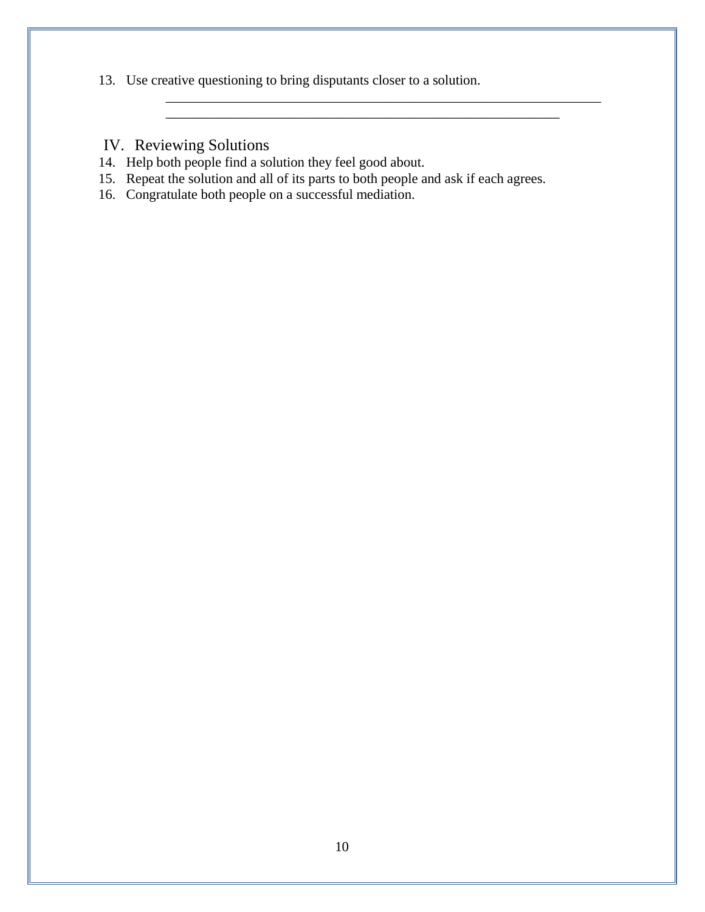13. Use creative questioning to bring disputants closer to a solution.

IV. Reviewing Solutions

- 14. Help both people find a solution they feel good about.
- 15. Repeat the solution and all of its parts to both people and ask if each agrees.

\_\_\_\_\_\_\_\_\_\_\_\_\_\_\_\_\_\_\_\_\_\_\_\_\_\_\_\_\_\_\_\_\_\_\_\_\_\_\_\_\_\_\_\_\_\_\_\_\_\_\_\_\_\_\_\_\_\_\_\_\_\_\_

\_\_\_\_\_\_\_\_\_\_\_\_\_\_\_\_\_\_\_\_\_\_\_\_\_\_\_\_\_\_\_\_\_\_\_\_\_\_\_\_\_\_\_\_\_\_\_\_\_\_\_\_\_\_\_\_\_

16. Congratulate both people on a successful mediation.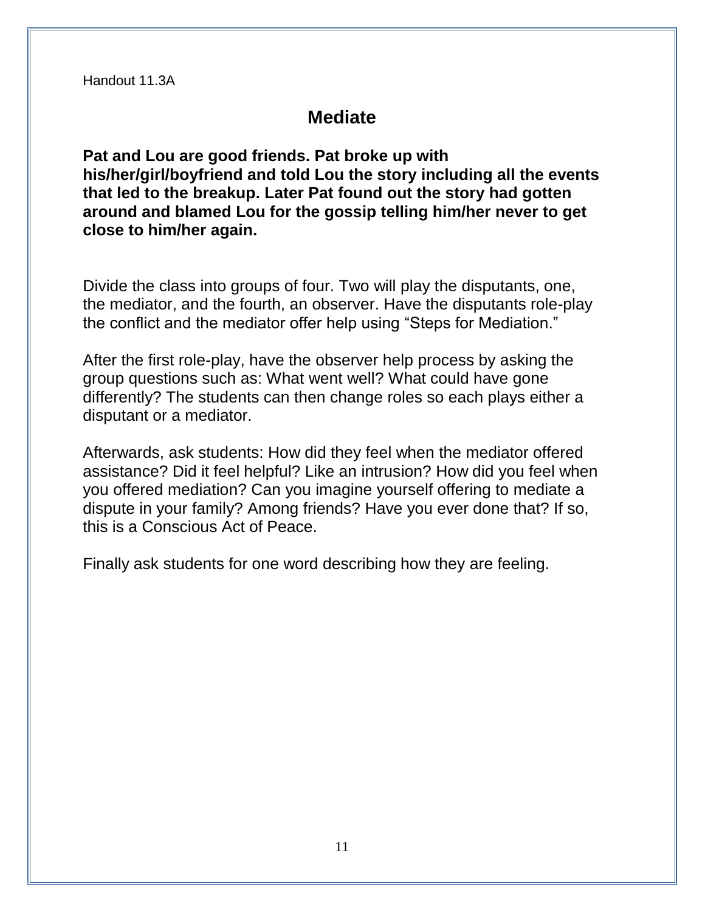## **Mediate**

**Pat and Lou are good friends. Pat broke up with his/her/girl/boyfriend and told Lou the story including all the events that led to the breakup. Later Pat found out the story had gotten around and blamed Lou for the gossip telling him/her never to get close to him/her again.**

Divide the class into groups of four. Two will play the disputants, one, the mediator, and the fourth, an observer. Have the disputants role-play the conflict and the mediator offer help using "Steps for Mediation."

After the first role-play, have the observer help process by asking the group questions such as: What went well? What could have gone differently? The students can then change roles so each plays either a disputant or a mediator.

Afterwards, ask students: How did they feel when the mediator offered assistance? Did it feel helpful? Like an intrusion? How did you feel when you offered mediation? Can you imagine yourself offering to mediate a dispute in your family? Among friends? Have you ever done that? If so, this is a Conscious Act of Peace.

Finally ask students for one word describing how they are feeling.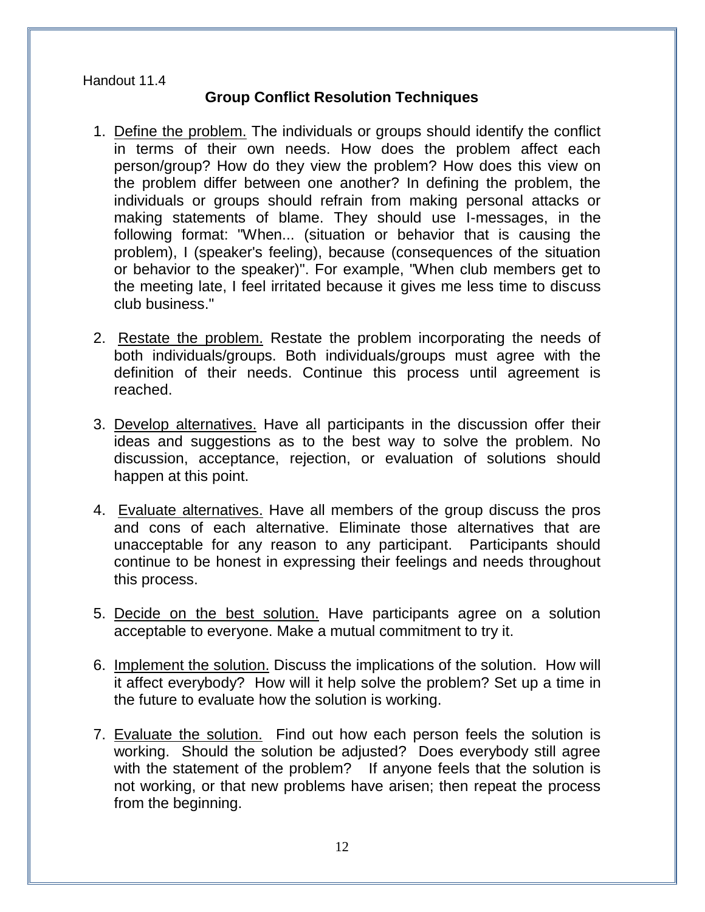## **Group Conflict Resolution Techniques**

- 1. Define the problem. The individuals or groups should identify the conflict in terms of their own needs. How does the problem affect each person/group? How do they view the problem? How does this view on the problem differ between one another? In defining the problem, the individuals or groups should refrain from making personal attacks or making statements of blame. They should use I-messages, in the following format: "When... (situation or behavior that is causing the problem), I (speaker's feeling), because (consequences of the situation or behavior to the speaker)". For example, "When club members get to the meeting late, I feel irritated because it gives me less time to discuss club business."
- 2. Restate the problem. Restate the problem incorporating the needs of both individuals/groups. Both individuals/groups must agree with the definition of their needs. Continue this process until agreement is reached.
- 3. Develop alternatives. Have all participants in the discussion offer their ideas and suggestions as to the best way to solve the problem. No discussion, acceptance, rejection, or evaluation of solutions should happen at this point.
- 4. Evaluate alternatives. Have all members of the group discuss the pros and cons of each alternative. Eliminate those alternatives that are unacceptable for any reason to any participant. Participants should continue to be honest in expressing their feelings and needs throughout this process.
- 5. Decide on the best solution. Have participants agree on a solution acceptable to everyone. Make a mutual commitment to try it.
- 6. Implement the solution. Discuss the implications of the solution. How will it affect everybody? How will it help solve the problem? Set up a time in the future to evaluate how the solution is working.
- 7. Evaluate the solution. Find out how each person feels the solution is working. Should the solution be adjusted? Does everybody still agree with the statement of the problem? If anyone feels that the solution is not working, or that new problems have arisen; then repeat the process from the beginning.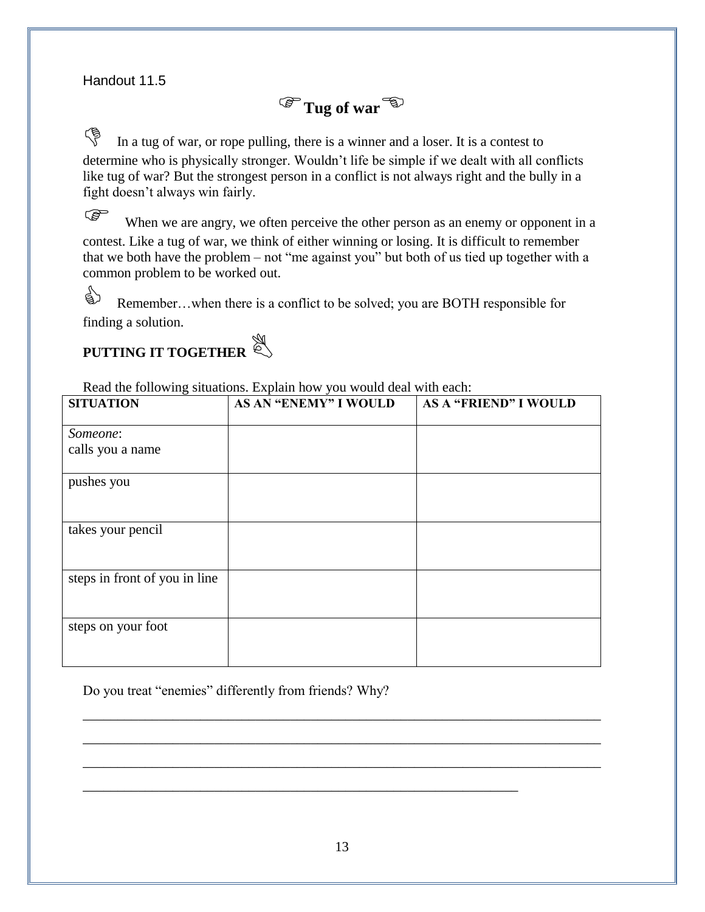# **Tug of war**

In a tug of war, or rope pulling, there is a winner and a loser. It is a contest to determine who is physically stronger. Wouldn't life be simple if we dealt with all conflicts like tug of war? But the strongest person in a conflict is not always right and the bully in a fight doesn't always win fairly.

When we are angry, we often perceive the other person as an enemy or opponent in a contest. Like a tug of war, we think of either winning or losing. It is difficult to remember that we both have the problem – not "me against you" but both of us tied up together with a common problem to be worked out.

Remember...when there is a conflict to be solved; you are BOTH responsible for finding a solution.

# **PUTTING IT TOGETHER**

Read the following situations. Explain how you would deal with each:

| <b>SITUATION</b>              | AS AN "ENEMY" I WOULD | <b>AS A "FRIEND" I WOULD</b> |
|-------------------------------|-----------------------|------------------------------|
| Someone:                      |                       |                              |
| calls you a name              |                       |                              |
| pushes you                    |                       |                              |
|                               |                       |                              |
| takes your pencil             |                       |                              |
| steps in front of you in line |                       |                              |
| steps on your foot            |                       |                              |

Do you treat "enemies" differently from friends? Why?

\_\_\_\_\_\_\_\_\_\_\_\_\_\_\_\_\_\_\_\_\_\_\_\_\_\_\_\_\_\_\_\_\_\_\_\_\_\_\_\_\_\_\_\_\_\_\_\_\_\_\_\_\_\_\_\_\_\_\_\_\_\_\_\_\_\_\_\_\_\_\_\_\_\_\_

\_\_\_\_\_\_\_\_\_\_\_\_\_\_\_\_\_\_\_\_\_\_\_\_\_\_\_\_\_\_\_\_\_\_\_\_\_\_\_\_\_\_\_\_\_\_\_\_\_\_\_\_\_\_\_\_\_\_\_\_\_\_\_\_\_\_\_\_\_\_\_\_\_\_\_

\_\_\_\_\_\_\_\_\_\_\_\_\_\_\_\_\_\_\_\_\_\_\_\_\_\_\_\_\_\_\_\_\_\_\_\_\_\_\_\_\_\_\_\_\_\_\_\_\_\_\_\_\_\_\_\_\_\_\_\_\_\_\_\_\_\_\_\_\_\_\_\_\_\_\_

\_\_\_\_\_\_\_\_\_\_\_\_\_\_\_\_\_\_\_\_\_\_\_\_\_\_\_\_\_\_\_\_\_\_\_\_\_\_\_\_\_\_\_\_\_\_\_\_\_\_\_\_\_\_\_\_\_\_\_\_\_\_\_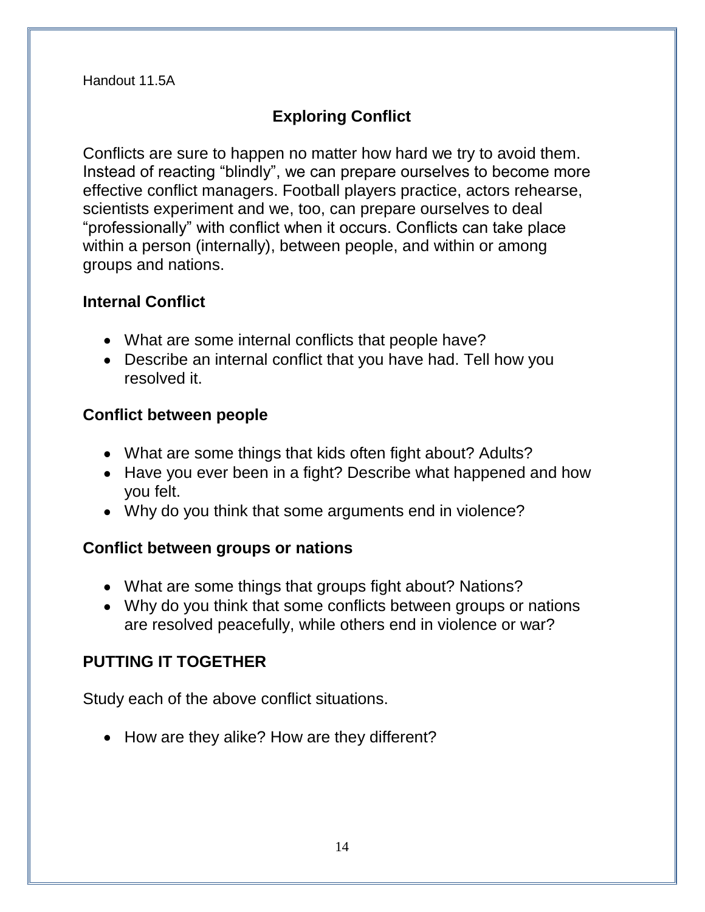## **Exploring Conflict**

Conflicts are sure to happen no matter how hard we try to avoid them. Instead of reacting "blindly", we can prepare ourselves to become more effective conflict managers. Football players practice, actors rehearse, scientists experiment and we, too, can prepare ourselves to deal "professionally" with conflict when it occurs. Conflicts can take place within a person (internally), between people, and within or among groups and nations.

## **Internal Conflict**

- What are some internal conflicts that people have?
- Describe an internal conflict that you have had. Tell how you resolved it.

## **Conflict between people**

- What are some things that kids often fight about? Adults?
- Have you ever been in a fight? Describe what happened and how you felt.
- Why do you think that some arguments end in violence?

## **Conflict between groups or nations**

- What are some things that groups fight about? Nations?
- Why do you think that some conflicts between groups or nations are resolved peacefully, while others end in violence or war?

## **PUTTING IT TOGETHER**

Study each of the above conflict situations.

• How are they alike? How are they different?